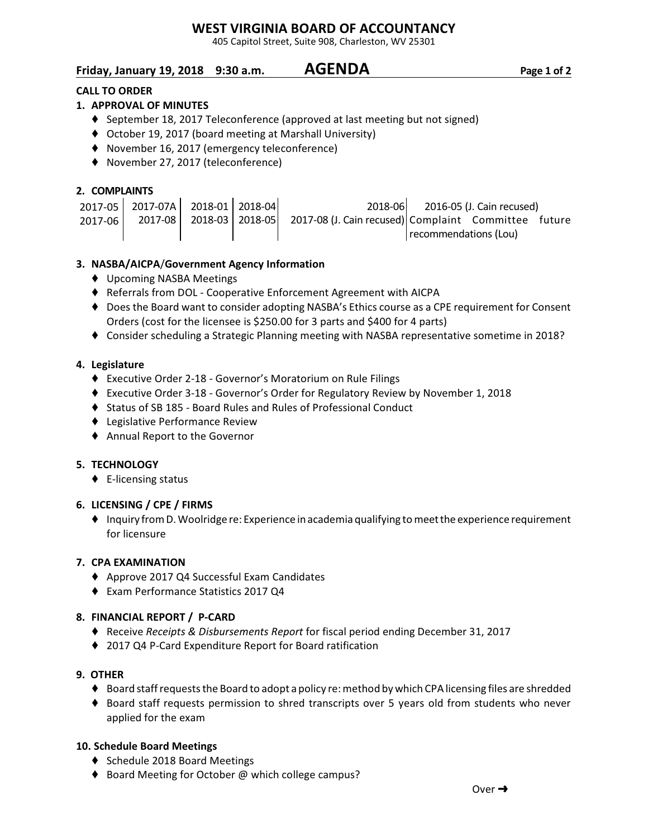## **WEST VIRGINIA BOARD OF ACCOUNTANCY**

405 Capitol Street, Suite 908, Charleston, WV 25301

## **Friday, January 19, 2018 9:30 a.m. AGENDA Page 1 of 2**

### **CALL TO ORDER**

### **1. APPROVAL OF MINUTES**

- $\blacklozenge$  September 18, 2017 Teleconference (approved at last meeting but not signed)
- October 19, 2017 (board meeting at Marshall University)
- ◆ November 16, 2017 (emergency teleconference)
- ◆ November 27, 2017 (teleconference)

#### **2. COMPLAINTS**

|         | 2017-05 2017-07A 2018-01 2018-04 |  | 2018-06                                                                            |                       | 2016-05 (J. Cain recused) |  |
|---------|----------------------------------|--|------------------------------------------------------------------------------------|-----------------------|---------------------------|--|
| 2017-06 |                                  |  | 2017-08   2018-03   2018-05   2017-08 (J. Cain recused) Complaint Committee future |                       |                           |  |
|         |                                  |  |                                                                                    | recommendations (Lou) |                           |  |

#### **3. NASBA/AICPA**/**Government Agency Information**

- ◆ Upcoming NASBA Meetings
- Referrals from DOL Cooperative Enforcement Agreement with AICPA
- ◆ Does the Board want to consider adopting NASBA's Ethics course as a CPE requirement for Consent Orders (cost for the licensee is \$250.00 for 3 parts and \$400 for 4 parts)
- Consider scheduling a Strategic Planning meeting with NASBA representative sometime in 2018?

#### **4. Legislature**

- Executive Order 2-18 Governor's Moratorium on Rule Filings
- Executive Order 3-18 Governor's Order for Regulatory Review by November 1, 2018
- Status of SB 185 Board Rules and Rules of Professional Conduct
- ◆ Legislative Performance Review
- Annual Report to the Governor

#### **5. TECHNOLOGY**

 $\blacklozenge$  E-licensing status

#### **6. LICENSING / CPE / FIRMS**

 $\blacklozenge$  Inquiry from D. Woolridge re: Experience in academia qualifying to meet the experience requirement for licensure

#### **7. CPA EXAMINATION**

- Approve 2017 Q4 Successful Exam Candidates
- ◆ Exam Performance Statistics 2017 Q4

#### **8. FINANCIAL REPORT / P-CARD**

- ◆ Receive *Receipts & Disbursements Report* for fiscal period ending December 31, 2017
- ◆ 2017 Q4 P-Card Expenditure Report for Board ratification

#### **9. OTHER**

- ◆ Board staff requests the Board to adopt a policy re: method by which CPA licensing files are shredded
- Board staff requests permission to shred transcripts over 5 years old from students who never applied for the exam

#### **10. Schedule Board Meetings**

- ◆ Schedule 2018 Board Meetings
- ♦ Board Meeting for October @ which college campus?